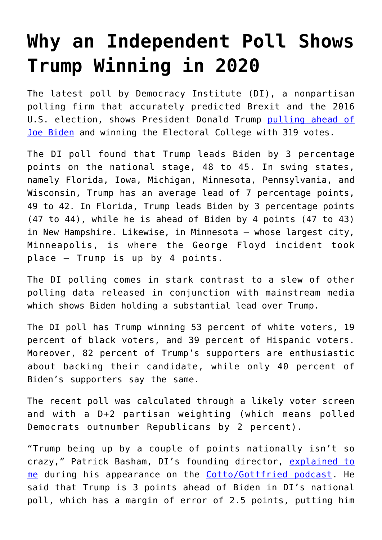## **[Why an Independent Poll Shows](https://intellectualtakeout.org/2020/09/why-an-independent-poll-shows-trump-winning-in-2020/) [Trump Winning in 2020](https://intellectualtakeout.org/2020/09/why-an-independent-poll-shows-trump-winning-in-2020/)**

The latest poll by Democracy Institute (DI), a nonpartisan polling firm that accurately predicted Brexit and the 2016 U.S. election, shows President Donald Trump [pulling ahead of](https://www.express.co.uk/news/world/1329041/US-election-2020-donald-trump-joe-biden-latest-polling) [Joe Biden](https://www.express.co.uk/news/world/1329041/US-election-2020-donald-trump-joe-biden-latest-polling) and winning the Electoral College with 319 votes.

The DI poll found that Trump leads Biden by 3 percentage points on the national stage, 48 to 45. In swing states, namely Florida, Iowa, Michigan, Minnesota, Pennsylvania, and Wisconsin, Trump has an average lead of 7 percentage points, 49 to 42. In Florida, Trump leads Biden by 3 percentage points (47 to 44), while he is ahead of Biden by 4 points (47 to 43) in New Hampshire. Likewise, in Minnesota – whose largest city, Minneapolis, is where the George Floyd incident took place – Trump is up by 4 points.

The DI polling comes in stark contrast to a slew of other polling data released in conjunction with mainstream media which shows Biden holding a substantial lead over Trump.

The DI poll has Trump winning 53 percent of white voters, 19 percent of black voters, and 39 percent of Hispanic voters. Moreover, 82 percent of Trump's supporters are enthusiastic about backing their candidate, while only 40 percent of Biden's supporters say the same.

The recent poll was calculated through a likely voter screen and with a D+2 partisan weighting (which means polled Democrats outnumber Republicans by 2 percent).

"Trump being up by a couple of points nationally isn't so crazy," Patrick Basham, DI's founding director, [explained to](https://youtu.be/d0pJf1KAvMg?t=4018) [me](https://youtu.be/d0pJf1KAvMg?t=4018) during his appearance on the [Cotto/Gottfried podcast.](https://podcasts.apple.com/us/podcast/cotto-gottfried/id1494171864) He said that Trump is 3 points ahead of Biden in DI's national poll, which has a margin of error of 2.5 points, putting him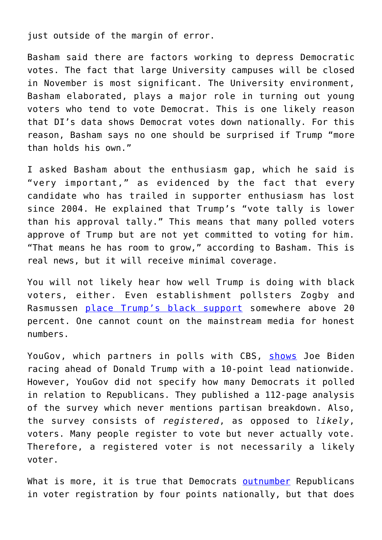just outside of the margin of error.

Basham said there are factors working to depress Democratic votes. The fact that large University campuses will be closed in November is most significant. The University environment, Basham elaborated, plays a major role in turning out young voters who tend to vote Democrat. This is one likely reason that DI's data shows Democrat votes down nationally. For this reason, Basham says no one should be surprised if Trump "more than holds his own."

I asked Basham about the enthusiasm gap, which he said is "very important," as evidenced by the fact that every candidate who has trailed in supporter enthusiasm has lost since 2004. He explained that Trump's "vote tally is lower than his approval tally." This means that many polled voters approve of Trump but are not yet committed to voting for him. "That means he has room to grow," according to Basham. This is real news, but it will receive minimal coverage.

You will not likely hear how well Trump is doing with black voters, either. Even establishment pollsters Zogby and Rasmussen [place Trump's black support](https://www.breitbart.com/2020-election/2020/09/01/polls-support-for-president-trump-surges-in-black-community/) somewhere above 20 percent. One cannot count on the mainstream media for honest numbers.

YouGov, which partners in polls with CBS, [shows](https://www.cbsnews.com/news/biden-trump-wisconsin-opinion-poll-protests/) Joe Biden racing ahead of Donald Trump with a 10-point lead nationwide. However, YouGov did not specify how many Democrats it polled in relation to Republicans. They published a 112-page analysis of the survey which never mentions partisan breakdown. Also, the survey consists of *registered*, as opposed to *likely*, voters. Many people register to vote but never actually vote. Therefore, a registered voter is not necessarily a likely voter.

What is more, it is true that Democrats [outnumber](https://www.peoplespunditdaily.com/news/elections/2020/06/16/what-a-national-voter-file-analysis-tells-us-about-party-affiliation/) Republicans in voter registration by four points nationally, but that does